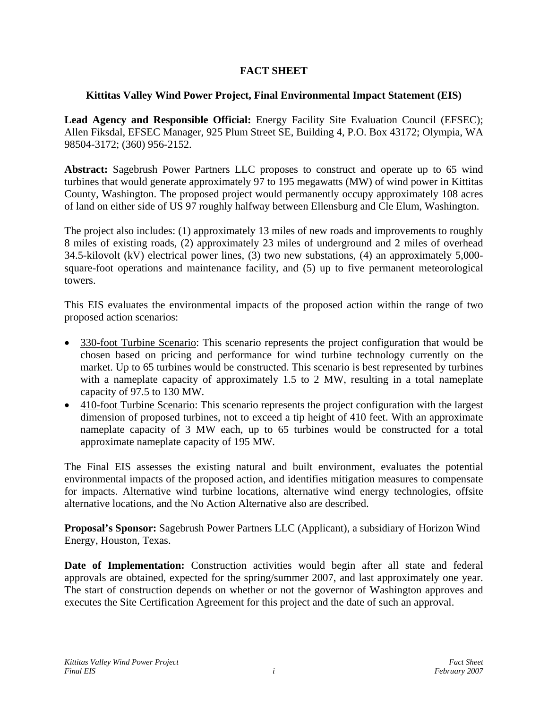## **FACT SHEET**

## **Kittitas Valley Wind Power Project, Final Environmental Impact Statement (EIS)**

Lead Agency and Responsible Official: Energy Facility Site Evaluation Council (EFSEC); Allen Fiksdal, EFSEC Manager, 925 Plum Street SE, Building 4, P.O. Box 43172; Olympia, WA 98504-3172; (360) 956-2152.

**Abstract:** Sagebrush Power Partners LLC proposes to construct and operate up to 65 wind turbines that would generate approximately 97 to 195 megawatts (MW) of wind power in Kittitas County, Washington. The proposed project would permanently occupy approximately 108 acres of land on either side of US 97 roughly halfway between Ellensburg and Cle Elum, Washington.

The project also includes: (1) approximately 13 miles of new roads and improvements to roughly 8 miles of existing roads, (2) approximately 23 miles of underground and 2 miles of overhead 34.5-kilovolt (kV) electrical power lines, (3) two new substations, (4) an approximately 5,000 square-foot operations and maintenance facility, and (5) up to five permanent meteorological towers.

This EIS evaluates the environmental impacts of the proposed action within the range of two proposed action scenarios:

- 330-foot Turbine Scenario: This scenario represents the project configuration that would be chosen based on pricing and performance for wind turbine technology currently on the market. Up to 65 turbines would be constructed. This scenario is best represented by turbines with a nameplate capacity of approximately 1.5 to 2 MW, resulting in a total nameplate capacity of 97.5 to 130 MW.
- 410-foot Turbine Scenario: This scenario represents the project configuration with the largest dimension of proposed turbines, not to exceed a tip height of 410 feet. With an approximate nameplate capacity of 3 MW each, up to 65 turbines would be constructed for a total approximate nameplate capacity of 195 MW.

The Final EIS assesses the existing natural and built environment, evaluates the potential environmental impacts of the proposed action, and identifies mitigation measures to compensate for impacts. Alternative wind turbine locations, alternative wind energy technologies, offsite alternative locations, and the No Action Alternative also are described.

**Proposal's Sponsor:** Sagebrush Power Partners LLC (Applicant), a subsidiary of Horizon Wind Energy, Houston, Texas.

**Date of Implementation:** Construction activities would begin after all state and federal approvals are obtained, expected for the spring/summer 2007, and last approximately one year. The start of construction depends on whether or not the governor of Washington approves and executes the Site Certification Agreement for this project and the date of such an approval.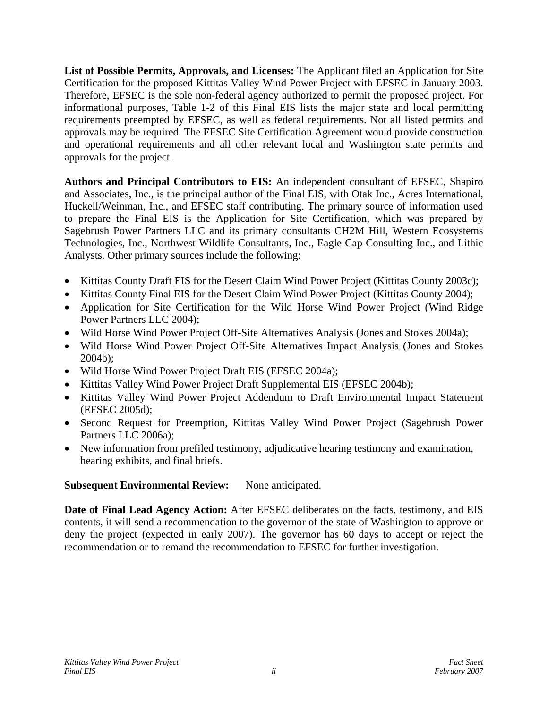**List of Possible Permits, Approvals, and Licenses:** The Applicant filed an Application for Site Certification for the proposed Kittitas Valley Wind Power Project with EFSEC in January 2003. Therefore, EFSEC is the sole non-federal agency authorized to permit the proposed project. For informational purposes, Table 1-2 of this Final EIS lists the major state and local permitting requirements preempted by EFSEC, as well as federal requirements. Not all listed permits and approvals may be required. The EFSEC Site Certification Agreement would provide construction and operational requirements and all other relevant local and Washington state permits and approvals for the project.

**Authors and Principal Contributors to EIS:** An independent consultant of EFSEC, Shapiro and Associates, Inc., is the principal author of the Final EIS, with Otak Inc., Acres International, Huckell/Weinman, Inc., and EFSEC staff contributing. The primary source of information used to prepare the Final EIS is the Application for Site Certification, which was prepared by Sagebrush Power Partners LLC and its primary consultants CH2M Hill, Western Ecosystems Technologies, Inc., Northwest Wildlife Consultants, Inc., Eagle Cap Consulting Inc., and Lithic Analysts. Other primary sources include the following:

- Kittitas County Draft EIS for the Desert Claim Wind Power Project (Kittitas County 2003c);
- Kittitas County Final EIS for the Desert Claim Wind Power Project (Kittitas County 2004);
- Application for Site Certification for the Wild Horse Wind Power Project (Wind Ridge Power Partners LLC 2004);
- Wild Horse Wind Power Project Off-Site Alternatives Analysis (Jones and Stokes 2004a);
- Wild Horse Wind Power Project Off-Site Alternatives Impact Analysis (Jones and Stokes 2004b);
- Wild Horse Wind Power Project Draft EIS (EFSEC 2004a);
- Kittitas Valley Wind Power Project Draft Supplemental EIS (EFSEC 2004b);
- Kittitas Valley Wind Power Project Addendum to Draft Environmental Impact Statement (EFSEC 2005d);
- Second Request for Preemption, Kittitas Valley Wind Power Project (Sagebrush Power Partners LLC 2006a);
- New information from prefiled testimony, adjudicative hearing testimony and examination, hearing exhibits, and final briefs.

## **Subsequent Environmental Review:** None anticipated.

**Date of Final Lead Agency Action:** After EFSEC deliberates on the facts, testimony, and EIS contents, it will send a recommendation to the governor of the state of Washington to approve or deny the project (expected in early 2007). The governor has 60 days to accept or reject the recommendation or to remand the recommendation to EFSEC for further investigation.